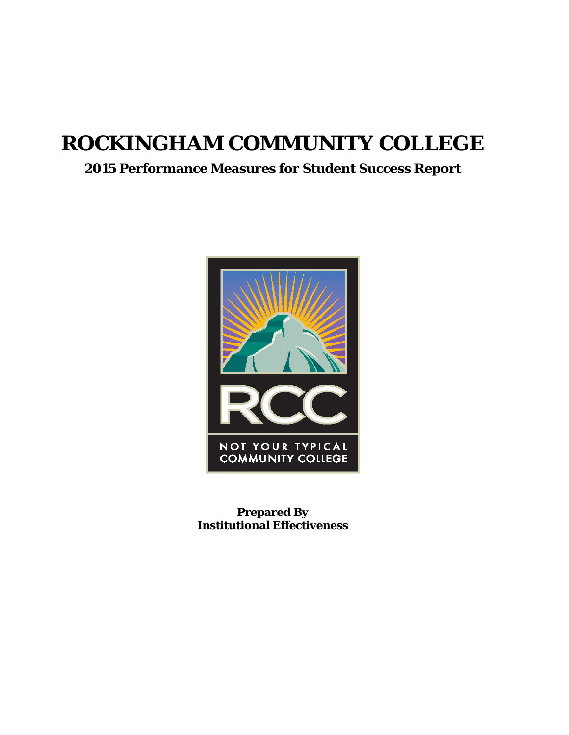# **ROCKINGHAM COMMUNITY COLLEGE**

### **2015 Performance Measures for Student Success Report**



**Prepared By Institutional Effectiveness**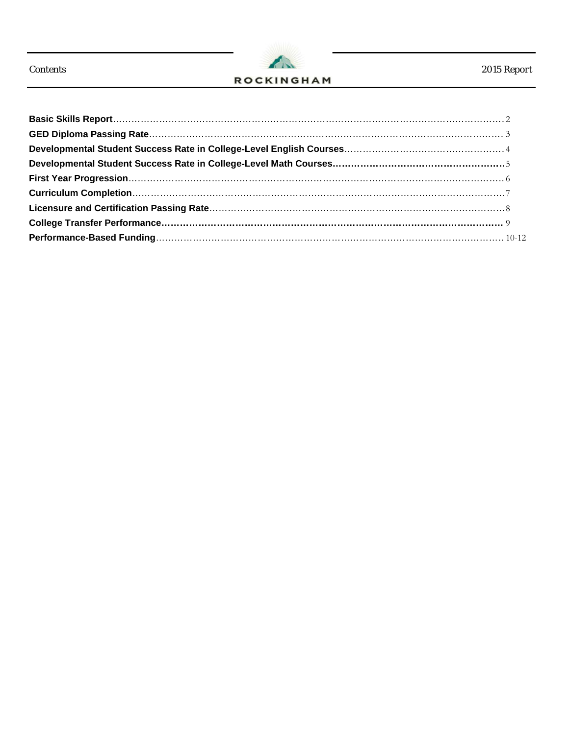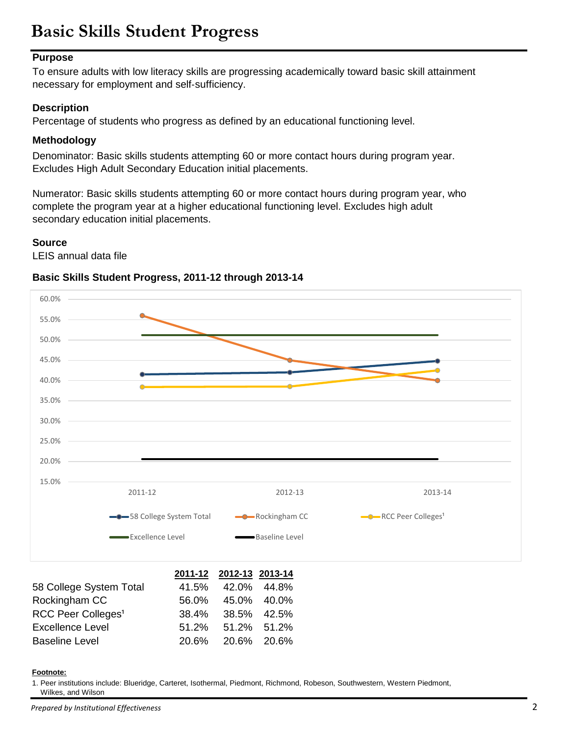# **Basic Skills Student Progress**

#### **Purpose**

To ensure adults with low literacy skills are progressing academically toward basic skill attainment necessary for employment and self‐sufficiency.

#### **Description**

Percentage of students who progress as defined by an educational functioning level.

#### **Methodology**

Denominator: Basic skills students attempting 60 or more contact hours during program year. Excludes High Adult Secondary Education initial placements.

Numerator: Basic skills students attempting 60 or more contact hours during program year, who complete the program year at a higher educational functioning level. Excludes high adult secondary education initial placements.

#### **Source**

LEIS annual data file

#### **Basic Skills Student Progress, 2011-12 through 2013-14**



#### **Footnote:**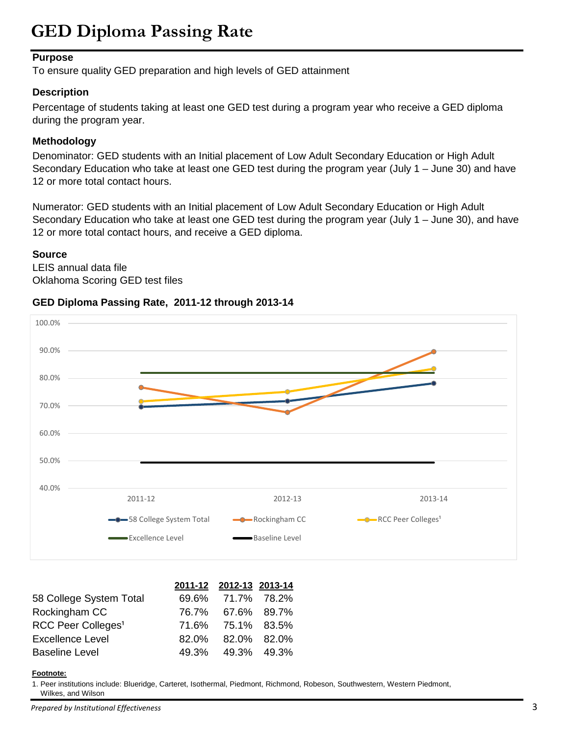# **GED Diploma Passing Rate**

#### **Purpose**

To ensure quality GED preparation and high levels of GED attainment

#### **Description**

Percentage of students taking at least one GED test during a program year who receive a GED diploma during the program year.

#### **Methodology**

Denominator: GED students with an Initial placement of Low Adult Secondary Education or High Adult Secondary Education who take at least one GED test during the program year (July 1 – June 30) and have 12 or more total contact hours.

Numerator: GED students with an Initial placement of Low Adult Secondary Education or High Adult Secondary Education who take at least one GED test during the program year (July 1 – June 30), and have 12 or more total contact hours, and receive a GED diploma.

#### **Source**

LEIS annual data file Oklahoma Scoring GED test files

#### **GED Diploma Passing Rate, 2011-12 through 2013-14**



|                                | 2011-12 2012-13 2013-14 |  |
|--------------------------------|-------------------------|--|
| 58 College System Total        | 69.6% 71.7% 78.2%       |  |
| Rockingham CC                  | 76.7% 67.6% 89.7%       |  |
| RCC Peer Colleges <sup>1</sup> | 71.6% 75.1% 83.5%       |  |
| <b>Excellence Level</b>        | 82.0% 82.0% 82.0%       |  |
| <b>Baseline Level</b>          | 49.3% 49.3% 49.3%       |  |

#### **Footnote:**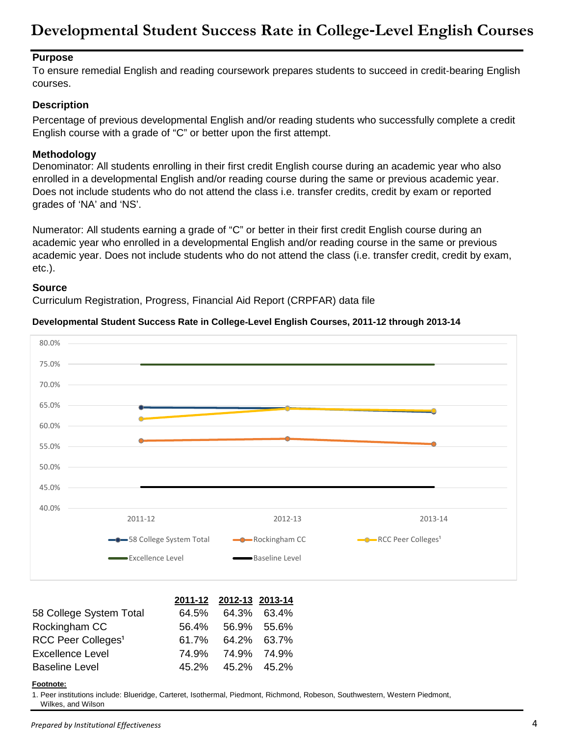### **Developmental Student Success Rate in College**‐**Level English Courses**

#### **Purpose**

To ensure remedial English and reading coursework prepares students to succeed in credit‐bearing English courses.

#### **Description**

Percentage of previous developmental English and/or reading students who successfully complete a credit English course with a grade of "C" or better upon the first attempt.

#### **Methodology**

Denominator: All students enrolling in their first credit English course during an academic year who also enrolled in a developmental English and/or reading course during the same or previous academic year. Does not include students who do not attend the class i.e. transfer credits, credit by exam or reported grades of 'NA' and 'NS'.

Numerator: All students earning a grade of "C" or better in their first credit English course during an academic year who enrolled in a developmental English and/or reading course in the same or previous academic year. Does not include students who do not attend the class (i.e. transfer credit, credit by exam, etc.).

#### **Source**

Curriculum Registration, Progress, Financial Aid Report (CRPFAR) data file

#### **Developmental Student Success Rate in College**‐**Level English Courses, 2011-12 through 2013-14**



|                                | 2011-12 2012-13 2013-14 |  |
|--------------------------------|-------------------------|--|
| 58 College System Total        | 64.5% 64.3% 63.4%       |  |
| Rockingham CC                  | 56.4% 56.9% 55.6%       |  |
| RCC Peer Colleges <sup>1</sup> | 61.7% 64.2% 63.7%       |  |
| <b>Excellence Level</b>        | 74.9% 74.9% 74.9%       |  |
| <b>Baseline Level</b>          | 45.2% 45.2% 45.2%       |  |

#### **Footnote:**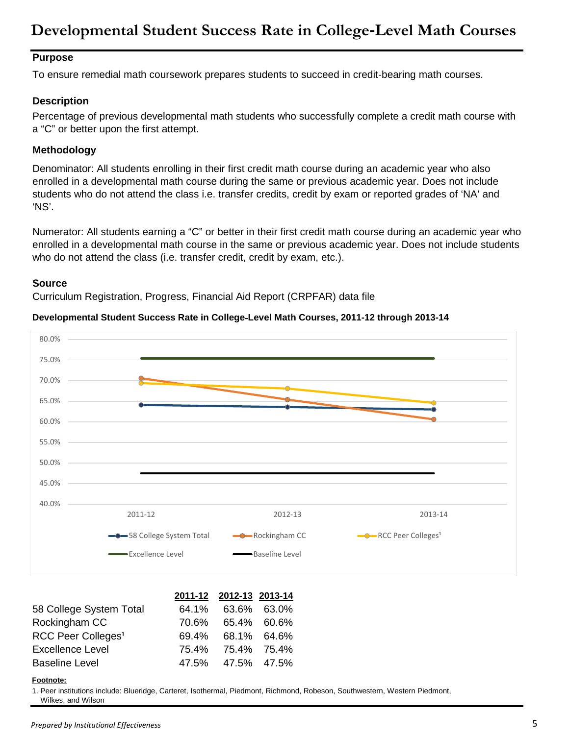### **Developmental Student Success Rate in College**‐**Level Math Courses**

#### **Purpose**

To ensure remedial math coursework prepares students to succeed in credit‐bearing math courses.

#### **Description**

Percentage of previous developmental math students who successfully complete a credit math course with a "C" or better upon the first attempt.

#### **Methodology**

Denominator: All students enrolling in their first credit math course during an academic year who also enrolled in a developmental math course during the same or previous academic year. Does not include students who do not attend the class i.e. transfer credits, credit by exam or reported grades of 'NA' and 'NS'.

Numerator: All students earning a "C" or better in their first credit math course during an academic year who enrolled in a developmental math course in the same or previous academic year. Does not include students who do not attend the class (i.e. transfer credit, credit by exam, etc.).

#### **Source**

Curriculum Registration, Progress, Financial Aid Report (CRPFAR) data file

#### **Developmental Student Success Rate in College**‐**Level Math Courses, 2011-12 through 2013-14**



|                                | 2011-12 2012-13 2013-14 |  |
|--------------------------------|-------------------------|--|
| 58 College System Total        | 64.1% 63.6% 63.0%       |  |
| Rockingham CC                  | 70.6% 65.4% 60.6%       |  |
| RCC Peer Colleges <sup>1</sup> | 69.4% 68.1% 64.6%       |  |
| <b>Excellence Level</b>        | 75.4% 75.4% 75.4%       |  |
| <b>Baseline Level</b>          | 47.5% 47.5% 47.5%       |  |

#### **Footnote:**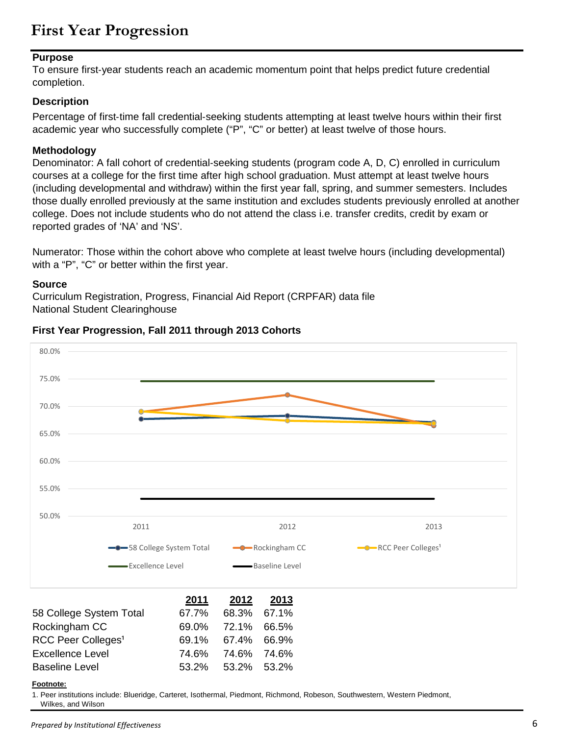### **First Year Progression**

#### **Purpose**

To ensure first‐year students reach an academic momentum point that helps predict future credential completion.

#### **Description**

Percentage of first-time fall credential-seeking students attempting at least twelve hours within their first academic year who successfully complete ("P", "C" or better) at least twelve of those hours.

#### **Methodology**

Denominator: A fall cohort of credential-seeking students (program code A, D, C) enrolled in curriculum courses at a college for the first time after high school graduation. Must attempt at least twelve hours (including developmental and withdraw) within the first year fall, spring, and summer semesters. Includes those dually enrolled previously at the same institution and excludes students previously enrolled at another college. Does not include students who do not attend the class i.e. transfer credits, credit by exam or reported grades of 'NA' and 'NS'.

Numerator: Those within the cohort above who complete at least twelve hours (including developmental) with a "P", "C" or better within the first year.

#### **Source**

Curriculum Registration, Progress, Financial Aid Report (CRPFAR) data file National Student Clearinghouse



#### **First Year Progression, Fall 2011 through 2013 Cohorts**

Excellence Level 74.6% 74.6% 74.6% Baseline Level 53.2% 53.2% 53.2%

#### **Footnote:**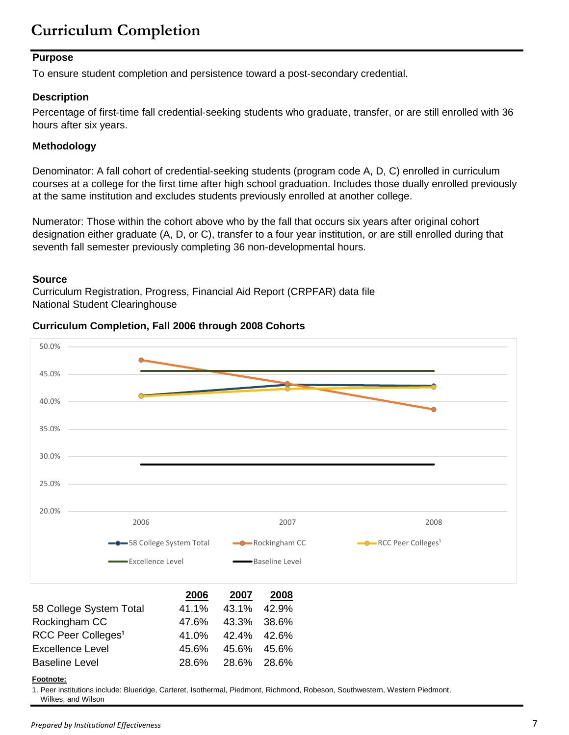## **Curriculum Completion**

#### **Purpose**

To ensure student completion and persistence toward a post‐secondary credential.

#### **Description**

Percentage of first-time fall credential-seeking students who graduate, transfer, or are still enrolled with 36 hours after six years.

#### **Methodology**

Denominator: A fall cohort of credential‐seeking students (program code A, D, C) enrolled in curriculum courses at a college for the first time after high school graduation. Includes those dually enrolled previously at the same institution and excludes students previously enrolled at another college.

Numerator: Those within the cohort above who by the fall that occurs six years after original cohort designation either graduate (A, D, or C), transfer to a four year institution, or are still enrolled during that seventh fall semester previously completing 36 non-developmental hours.

#### **Source**

Curriculum Registration, Progress, Financial Aid Report (CRPFAR) data file National Student Clearinghouse





Baseline Level 28.6% 28.6% 28.6% **Footnote:**

Excellence Level 45.6% 45.6% 45.6%

1. Peer institutions include: Blueridge, Carteret, Isothermal, Piedmont, Richmond, Robeson, Southwestern, Western Piedmont, Wilkes, and Wilson

*Prepared by Institutional Effectiveness* 7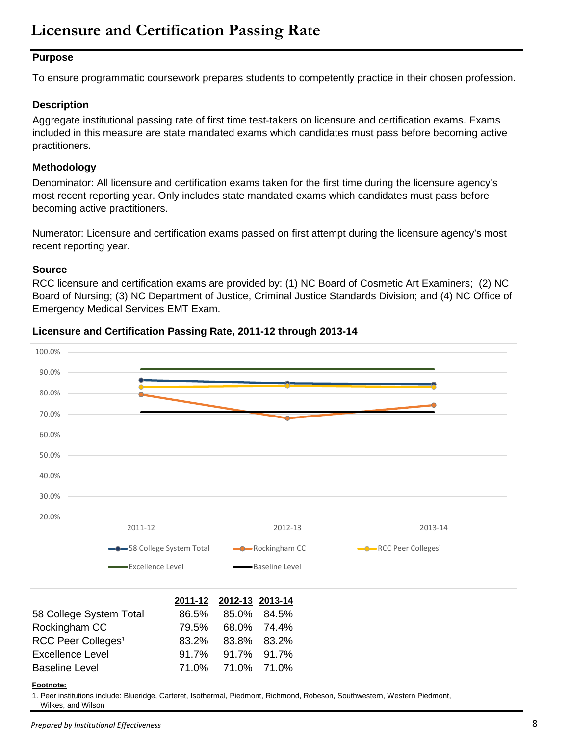### **Licensure and Certification Passing Rate**

#### **Purpose**

To ensure programmatic coursework prepares students to competently practice in their chosen profession.

#### **Description**

Aggregate institutional passing rate of first time test‐takers on licensure and certification exams. Exams included in this measure are state mandated exams which candidates must pass before becoming active practitioners.

#### **Methodology**

Denominator: All licensure and certification exams taken for the first time during the licensure agency's most recent reporting year. Only includes state mandated exams which candidates must pass before becoming active practitioners.

Numerator: Licensure and certification exams passed on first attempt during the licensure agency's most recent reporting year.

#### **Source**

RCC licensure and certification exams are provided by: (1) NC Board of Cosmetic Art Examiners; (2) NC Board of Nursing; (3) NC Department of Justice, Criminal Justice Standards Division; and (4) NC Office of Emergency Medical Services EMT Exam.



#### **Licensure and Certification Passing Rate, 2011-12 through 2013-14**

#### **Footnote:**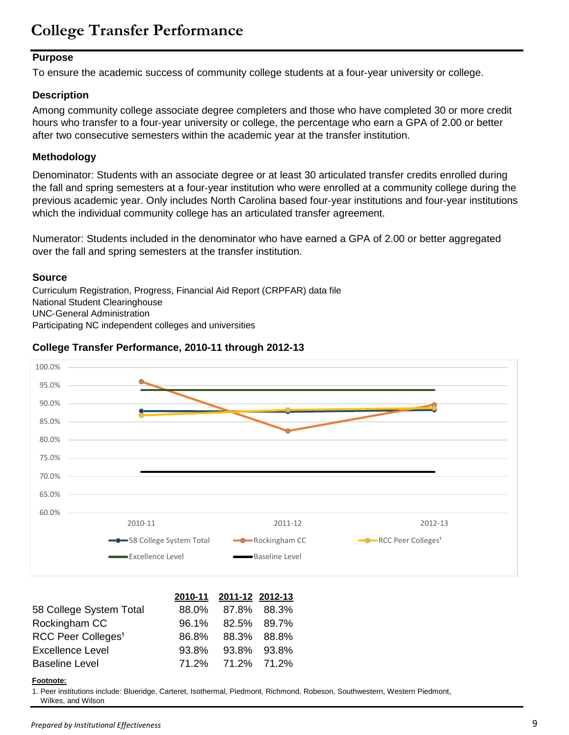### **College Transfer Performance**

#### **Purpose**

To ensure the academic success of community college students at a four‐year university or college.

#### **Description**

Among community college associate degree completers and those who have completed 30 or more credit hours who transfer to a four‐year university or college, the percentage who earn a GPA of 2.00 or better after two consecutive semesters within the academic year at the transfer institution.

#### **Methodology**

Denominator: Students with an associate degree or at least 30 articulated transfer credits enrolled during the fall and spring semesters at a four‐year institution who were enrolled at a community college during the previous academic year. Only includes North Carolina based four‐year institutions and four‐year institutions which the individual community college has an articulated transfer agreement.

Numerator: Students included in the denominator who have earned a GPA of 2.00 or better aggregated over the fall and spring semesters at the transfer institution.

#### **Source**

Curriculum Registration, Progress, Financial Aid Report (CRPFAR) data file National Student Clearinghouse UNC‐General Administration Participating NC independent colleges and universities

#### **College Transfer Performance, 2010-11 through 2012-13**



|                                | 2010-11 2011-12 2012-13 |  |
|--------------------------------|-------------------------|--|
| 58 College System Total        | 88.0% 87.8% 88.3%       |  |
| Rockingham CC                  | 96.1% 82.5% 89.7%       |  |
| RCC Peer Colleges <sup>1</sup> | 86.8% 88.3% 88.8%       |  |
| <b>Excellence Level</b>        | 93.8% 93.8% 93.8%       |  |
| <b>Baseline Level</b>          | 71.2% 71.2% 71.2%       |  |

#### **Footnote:**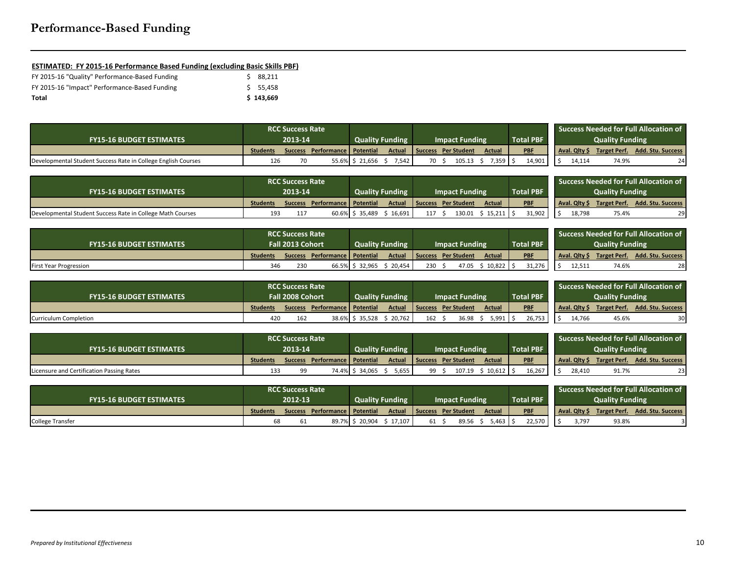#### **ESTIMATED: FY 2015-16 Performance Based Funding (excluding Basic Skills PBF)**

| FY 2015-16 "Quality" Performance-Based Funding | S 88.211  |
|------------------------------------------------|-----------|
| FY 2015-16 "Impact" Performance-Based Funding  | \$ 55.458 |
| Total                                          | \$143.669 |

|                                                               | <b>RCC Success Rate</b> |         |                         |                        |                       |    |                       |                  |  |            |  | <b>Success Needed for Full Allocation of</b> |                     |                          |
|---------------------------------------------------------------|-------------------------|---------|-------------------------|------------------------|-----------------------|----|-----------------------|------------------|--|------------|--|----------------------------------------------|---------------------|--------------------------|
| <b>FY15-16 BUDGET ESTIMATES</b>                               | 2013-14                 |         |                         | <b>Quality Funding</b> | <b>Impact Funding</b> |    |                       | <b>Total PBF</b> |  |            |  | <b>Quality Funding</b>                       |                     |                          |
|                                                               | <b>Students</b>         | Success | Performance   Potential |                        | <b>Actual</b>         |    | l Success Per Student | Actual           |  | <b>PBF</b> |  | Aval. Qlty \$                                | <b>Target Perf.</b> | <b>Add. Stu. Success</b> |
| Developmental Student Success Rate in College English Courses | 126                     |         |                         | 55.6% \$21,656         | 7,542                 | 70 | 105.13                | 7,359            |  | 14,901     |  | 14,114                                       | 74.9%               |                          |

|                                                            | <b>RCC Success Rate</b> |                |                                |                    |                        |                       |                    |               |                  |            | <b>Success Needed for Full Allocation of</b> |              |                        |                          |
|------------------------------------------------------------|-------------------------|----------------|--------------------------------|--------------------|------------------------|-----------------------|--------------------|---------------|------------------|------------|----------------------------------------------|--------------|------------------------|--------------------------|
| <b>FY15-16 BUDGET ESTIMATES</b>                            | 2013-14                 |                |                                |                    | <b>Quality Funding</b> | <b>Impact Funding</b> |                    |               | <b>Total PBF</b> |            |                                              |              | <b>Quality Funding</b> |                          |
|                                                            | <b>Students</b>         | <b>Success</b> | <b>Performance   Potential</b> |                    | <b>Actual</b>          | ' Success             | <b>Per Student</b> | <b>Actual</b> |                  | <b>PBF</b> |                                              | Aval. Olty S | <b>Target Perf.</b>    | <b>Add. Stu. Success</b> |
| Developmental Student Success Rate in College Math Courses | 193                     |                |                                | $60.6\%$ \$ 35,489 | 16,691                 | 117                   | L30.01             | 15,211        |                  | 31.902     |                                              | 18,798       | 75.4%                  |                          |

|                                 | <b>RCC Success Rate</b> |                |                         |                |                        |                       |                     |               |                  |            |  |               | <b>Success Needed for Full Allocation of</b> |                          |
|---------------------------------|-------------------------|----------------|-------------------------|----------------|------------------------|-----------------------|---------------------|---------------|------------------|------------|--|---------------|----------------------------------------------|--------------------------|
| <b>FY15-16 BUDGET ESTIMATES</b> | <b>Fall 2013 Cohort</b> |                |                         |                | <b>Quality Funding</b> | <b>Impact Funding</b> |                     |               | <b>Total PBF</b> |            |  |               | <b>Quality Funding</b>                       |                          |
|                                 | <b>Students</b>         | <b>Success</b> | Performance   Potential |                | <b>Actual</b>          |                       | Success Per Student | <b>Actual</b> |                  | <b>PBF</b> |  | Aval. Qlty \$ | <b>Target Perf.</b>                          | <b>Add. Stu. Success</b> |
| <b>First Year Progression</b>   | 346                     | 230            |                         | 66.5% \$32,965 | 20,454                 | 230                   | 47.05               | 10,822        |                  | 31,276     |  | 12,511        | 74.6%                                        | 28                       |

|                                 | <b>RCC Success Rate</b> |     |                                 |                 |                        |     |                       |               |            | <b>Success Needed for Full Allocation of</b> |                        |                   |
|---------------------------------|-------------------------|-----|---------------------------------|-----------------|------------------------|-----|-----------------------|---------------|------------|----------------------------------------------|------------------------|-------------------|
| <b>FY15-16 BUDGET ESTIMATES</b> | <b>Fall 2008 Cohort</b> |     |                                 |                 | <b>Quality Funding</b> |     | <b>Impact Funding</b> |               |            |                                              | <b>Quality Funding</b> |                   |
|                                 | <b>Students</b>         |     | Success Performance   Potential |                 | Actual                 |     | Success Per Student   | <b>Actual</b> | <b>PBF</b> | Aval. Olty \$                                | <b>Target Perf.</b>    | Add. Stu. Success |
| Curriculum Completion           | 420                     | 162 |                                 | 38.6% \$ 35,528 | 20,762                 | 162 | 36.98                 | ; 991         | 26,753     | 14.766                                       | 45.6%                  |                   |

|                                           | <b>RCC Success Rate</b> |  |                                 |                |                        |                       |                     |               |           |            |  |               | Success Needed for Full Allocation of |                   |
|-------------------------------------------|-------------------------|--|---------------------------------|----------------|------------------------|-----------------------|---------------------|---------------|-----------|------------|--|---------------|---------------------------------------|-------------------|
| <b>FY15-16 BUDGET ESTIMATES</b>           | 2013-14                 |  |                                 |                | <b>Quality Funding</b> | <b>Impact Funding</b> |                     |               | Total PBF |            |  |               | <b>Quality Funding</b>                |                   |
|                                           | <b>Students</b>         |  | Success Performance   Potential |                | Actual                 |                       | Success Per Student | <b>Actual</b> |           | <b>PBF</b> |  | Aval. Olty \$ | Target Perf.                          | Add. Stu. Success |
| Licensure and Certification Passing Rates | 133                     |  |                                 | 74.4% S 34.065 | 5,655                  |                       | 107.19              | $10,612$   9  |           | 16,267     |  | 28,410        | 91.7%                                 |                   |

|                                 | <b>RCC Success Rate</b> |                |                         |                                                 |        |    |                              |                  |            |  |                        |              | <b>Success Needed for Full Allocation of</b> |
|---------------------------------|-------------------------|----------------|-------------------------|-------------------------------------------------|--------|----|------------------------------|------------------|------------|--|------------------------|--------------|----------------------------------------------|
| <b>FY15-16 BUDGET ESTIMATES</b> | 2012-13                 |                |                         | <b>Quality Funding</b><br><b>Impact Funding</b> |        |    |                              | <b>Total PBF</b> |            |  | <b>Quality Funding</b> |              |                                              |
|                                 | <b>Students</b>         | <b>Success</b> | Performance   Potential |                                                 |        |    | Actual   Success Per Student | <b>Actual</b>    | <b>PBF</b> |  | <b>Aval. Qlty S</b>    | Target Perf. | <b>Add. Stu. Success</b>                     |
| <b>College Transfer</b>         |                         |                | 89.7% S                 | 20,904                                          | 17,107 | 61 | 89.56                        | ,463             | 22,570     |  | 3,797                  | 93.8%        |                                              |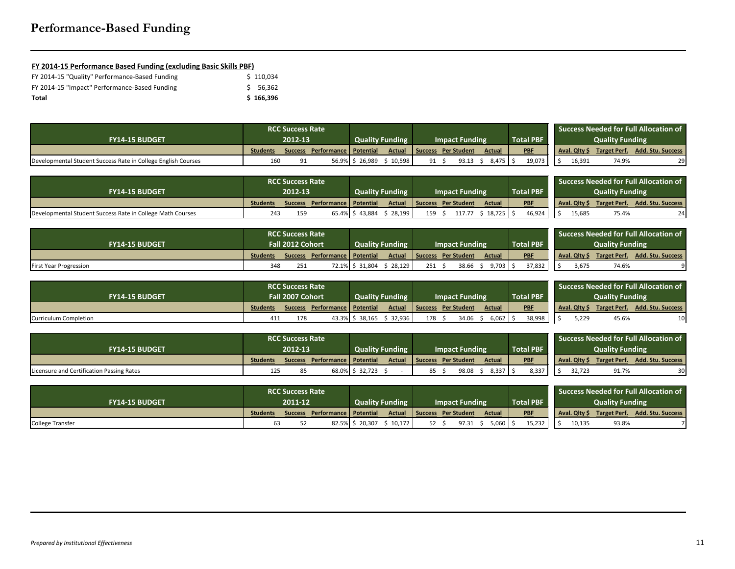# **Performance-Based Funding**

### **FY 2014-15 Performance Based Funding (excluding Basic Skills PBF)**

| FY 2014-15 "Quality" Performance-Based Funding | \$110.034 |
|------------------------------------------------|-----------|
| FY 2014-15 "Impact" Performance-Based Funding  | S 56.362  |
| Total                                          | \$166,396 |

|                                                               |                 | <b>RCC Success Rate</b> |                                 |        |                        |    |                       |           |                  |        |                      |                        | <b>Success Needed for Full Allocation of</b> |
|---------------------------------------------------------------|-----------------|-------------------------|---------------------------------|--------|------------------------|----|-----------------------|-----------|------------------|--------|----------------------|------------------------|----------------------------------------------|
| <b>FY14-15 BUDGET</b>                                         | 2012-13         |                         |                                 |        | <b>Quality Funding</b> |    | <b>Impact Funding</b> |           | <b>Total PBF</b> |        |                      | <b>Quality Funding</b> |                                              |
|                                                               | <b>Students</b> |                         | Success Performance   Potential |        | Actual                 |    | Success Per Student   | Actual    | <b>PBF</b>       |        | <b>Aval. Olty ST</b> | Target Perf.           | <b>Add. Stu. Success</b>                     |
| Developmental Student Success Rate in College English Courses | 160             |                         | 56.9%   \$                      | 26,989 | 10,598                 | Q1 | 93.13                 | $8.475$ S |                  | 19,073 | 16,391               | 74.9%                  |                                              |

|                                                            |                 | <b>RCC Success Rate</b> |                                 |                |                        |     |                       |               |                  |              |                        | <b>Success Needed for Full Allocation of</b> |
|------------------------------------------------------------|-----------------|-------------------------|---------------------------------|----------------|------------------------|-----|-----------------------|---------------|------------------|--------------|------------------------|----------------------------------------------|
| <b>FY14-15 BUDGET</b>                                      |                 | 2012-13                 |                                 |                | <b>Quality Funding</b> |     | <b>Impact Funding</b> |               | <b>Total PBF</b> |              | <b>Quality Funding</b> |                                              |
|                                                            | <b>Students</b> |                         | Success Performance   Potential |                | <b>Actual</b>          |     | Success Per Student   | <b>Actual</b> | <b>PBF</b>       | Aval. Qlty S | <b>Target Perf.</b>    | <b>Add. Stu. Success</b>                     |
| Developmental Student Success Rate in College Math Courses | 243             | 159                     |                                 | 65.4% \$43.884 | 28,199                 | 159 | 117.77                | 18.725        | 46.924           | 15,685       | 75.4%                  |                                              |

|                               |                         | <b>RCC Success Rate</b> |                                |                 |                        |     |                       |        |                  |               |                        | <b>Success Needed for Full Allocation of</b> |
|-------------------------------|-------------------------|-------------------------|--------------------------------|-----------------|------------------------|-----|-----------------------|--------|------------------|---------------|------------------------|----------------------------------------------|
| <b>FY14-15 BUDGET</b>         | <b>Fall 2012 Cohort</b> |                         |                                |                 | <b>Quality Funding</b> |     | <b>Impact Funding</b> |        | <b>Total PBF</b> |               | <b>Quality Funding</b> |                                              |
|                               | <b>Students</b>         | <b>Success</b>          | <b>Performance   Potential</b> |                 | <b>Actual</b>          |     | Success Per Student   | Actual | <b>PBF</b>       | Aval. Qlty \$ | Target Perf.           | <b>Add. Stu. Success</b>                     |
| <b>First Year Progression</b> | 348                     |                         |                                | 72.1% \$ 31,804 | 28,129                 | 251 | 38.66                 | 9,703  | 37,832           | 3,675         | 74.6%                  |                                              |

|                       |                  | <b>RCC Success Rate</b> |                                 |                 |                        |     |                       |               |            |        |               |                        | <b>Success Needed for Full Allocation of</b> |
|-----------------------|------------------|-------------------------|---------------------------------|-----------------|------------------------|-----|-----------------------|---------------|------------|--------|---------------|------------------------|----------------------------------------------|
| <b>FY14-15 BUDGET</b> | Fall 2007 Cohort |                         |                                 |                 | <b>Quality Funding</b> |     | <b>Impact Funding</b> |               | Total PBF  |        |               | <b>Quality Funding</b> |                                              |
|                       | <b>Students</b>  |                         | Success Performance   Potential |                 | Actual                 |     | Success Per Student   | <b>Actual</b> | <b>PBF</b> |        | Aval. Olty \$ | <b>Target Perf.</b>    | <b>Add. Stu. Success</b>                     |
| Curriculum Completion | 411              | 178                     |                                 | 43.3% \$ 38,165 | 32,936                 | 178 | 34.06                 | 5.062         |            | 38,998 | 5,229         | 45.6%                  |                                              |

|                                           |                 | <b>RCC Success Rate</b> |                                 |                |                        |                       |               |                  |               |                        | <b>Success Needed for Full Allocation of</b> |
|-------------------------------------------|-----------------|-------------------------|---------------------------------|----------------|------------------------|-----------------------|---------------|------------------|---------------|------------------------|----------------------------------------------|
| <b>FY14-15 BUDGET</b>                     | 2012-13         |                         |                                 |                | <b>Quality Funding</b> | <b>Impact Funding</b> |               | <b>Total PBF</b> |               | <b>Quality Funding</b> |                                              |
|                                           | <b>Students</b> |                         | Success Performance   Potential |                | <b>Actual</b>          | Success Per Student   | <b>Actual</b> | <b>PBF</b>       | Aval. Qlty \$ | <b>Target Perf.</b>    | <b>Add. Stu. Success</b>                     |
| Licensure and Certification Passing Rates | 125             |                         |                                 | 68.0% \$32,723 |                        | 98.08                 | 8.337         | 8,337            | 32,723        | 91.7%                  |                                              |

|                         |                 | <b>RCC Success Rate</b> |                                 |        |                 |     |                       |               |                  |        |               |                        | <b>Success Needed for Full Allocation of</b> |
|-------------------------|-----------------|-------------------------|---------------------------------|--------|-----------------|-----|-----------------------|---------------|------------------|--------|---------------|------------------------|----------------------------------------------|
| <b>FY14-15 BUDGET</b>   | 2011-12         |                         |                                 |        | Quality Funding |     | <b>Impact Funding</b> |               | <b>Total PBF</b> |        |               | <b>Quality Funding</b> |                                              |
|                         | <b>Students</b> |                         | Success Performance   Potential |        | Actual          |     | Success Per Student   | <b>Actual</b> | <b>PBF</b>       |        | Aval. Qlty \$ |                        | Target Perf. Add. Stu. Success               |
| <b>College Transfer</b> |                 |                         | 82.5% \$                        | 20.307 | 10,172          | 52. | 97.31                 | ا 060.د       |                  | 15.232 | 10,135        | 93.8%                  |                                              |